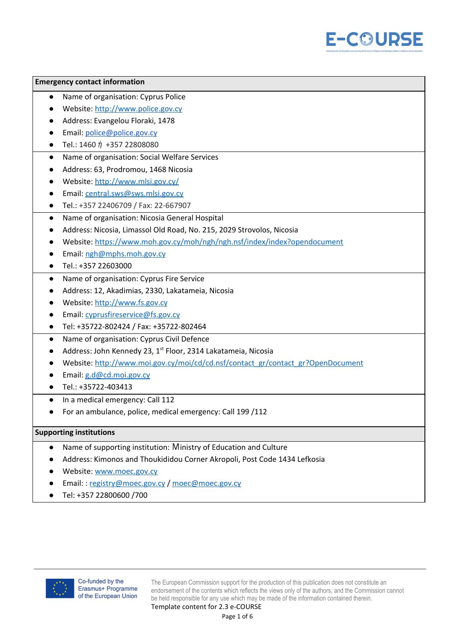

#### **Emergency contact information**

- Name of organisation: Cyprus Police
- Website: [http://www.police.gov.cy](http://www.police.gov.cy/)
- Address: Evangelou Floraki, 1478
- Email: [police@police.gov.cy](mailto:police@police.gov.cy)
- Tel.: 1460  $\acute{\eta}$  +357 22808080
- Name of organisation: Social Welfare Services
- Address: 63, Prodromou, 1468 Nicosia
- Website: <http://www.mlsi.gov.cy/>
- Email: [central.sws@sws.mlsi.gov.cy](mailto:central.sws@sws.mlsi.gov.cy)
- Tel.: +357 22406709 / Fax: 22-667907
- Name of organisation: Nicosia General Hospital
- Address: Nicosia, Limassol Old Road, No. 215, 2029 Strovolos, Nicosia
- Website: <https://www.moh.gov.cy/moh/ngh/ngh.nsf/index/index?opendocument>
- Email: [ngh@mphs.moh.gov.cy](mailto:ngh@mphs.moh.gov.cy)
- Tel.: +357 22603000
- Name of organisation: Cyprus Fire Service
- Address: 12, Akadimias, 2330, Lakatameia, Nicosia
- Website: [http://www.fs.gov.cy](http://www.fs.gov.cy/)
- Email: [cyprusfireservice@fs.gov.cy](mailto:cyprusfireservice@fs.gov.cy)
- Tel: +35722-802424 / Fax: +35722-802464
- Name of organisation: Cyprus Civil Defence
- Address: John Kennedy 23, 1<sup>st</sup> Floor, 2314 Lakatameia, Nicosia
- Website: [http://www.moi.gov.cy/moi/cd/cd.nsf/contact\\_gr/contact\\_gr?OpenDocument](http://www.moi.gov.cy/moi/cd/cd.nsf/contact_gr/contact_gr?OpenDocument)
- Email: [g.d@cd.moi.gov.cy](mailto:g.d@cd.moi.gov.cy)
- Tel.: +35722-403413
- In a medical emergency: Call 112
- For an ambulance, police, medical emergency: Call 199 /112

#### **Supporting institutions**

- Name of supporting institution: Μinistry of Education and Culture
- Address: Kimonos and Thoukididou Corner Akropoli, Post Code 1434 Lefkosia
- Website: [www.moec.gov.cy](http://www.moec.gov.cy/)
- Email: : [registry@moec.gov.cy](mailto:registry@moec.gov.cy) / [moec@moec.gov.cy](mailto:moec@moec.gov.cy)
- Tel: +357 22800600 /700



The European Commission support for the production of this publication does not constitute an endorsement of the contents which reflects the views only of the authors, and the Commission cannot be held responsible for any use which may be made of the information contained therein.

Template content for 2.3 e-COURSE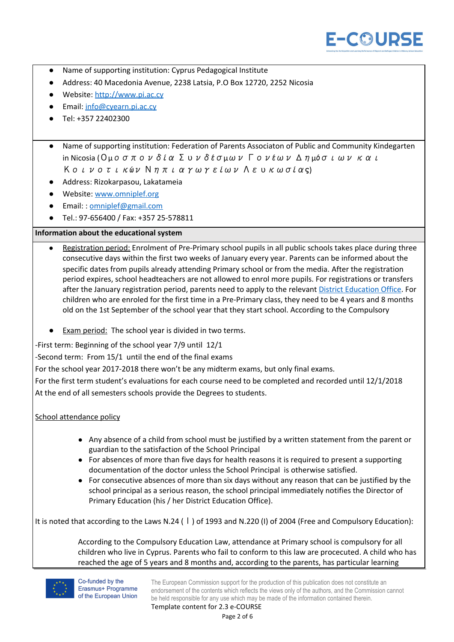

- Name of supporting institution: Cyprus Pedagogical Institute
- Address: 40 Macedonia Avenue, 2238 Latsia, P.O Box 12720, 2252 Nicosia
- Website: [http://www.pi.ac.cy](http://www.pi.ac.cy/)
- Email: [info@cyearn.pi.ac.cy](mailto:info@cyearn.pi.ac.cy)
- Tel: +357 22402300
- Name of supporting institution: Federation of Parents Associaton of Public and Community Kindegarten in Nicosia (Ομοσπονδία Συνδέσμων Γονέων Δημόσιων και Κοινοτικών Νηπιαγωγείων Λευκωσίας)
- Address: Rizokarpasou, Lakatameia
- Website: [www.omniplef.org](http://www.omniplef.org/)
- Email: : [omniplef@gmail.com](mailto:omniplef@gmail.com)
- Tel.: 97-656400 / Fax: +357 25-578811

## **Information about the educational system**

- Registration period: Enrolment of Pre-Primary school pupils in all public schools takes place during three consecutive days within the first two weeks of January every year. Parents can be informed about the specific dates from pupils already attending Primary school or from the media. After the registration period expires, school headteachers are not allowed to enrol more pupils. For registrations or transfers after the January registration period, parents need to apply to the relevant District [Education](http://www.moec.gov.cy/dde/en/contact.html) Office. For children who are enroled for the first time in a Pre-Primary class, they need to be 4 years and 8 months old on the 1st September of the school year that they start school. According to the Compulsory
- Exam period: The school year is divided in two terms.

-First term: Beginning of the school year 7/9 until 12/1

-Second term: From 15/1 until the end of the final exams

For the school year 2017-2018 there won't be any midterm exams, but only final exams.

For the first term student's evaluations for each course need to be completed and recorded until 12/1/2018 At the end of all semesters schools provide the Degrees to students.

## School attendance policy

- Any absence of a child from school must be justified by a written statement from the parent or guardian to the satisfaction of the School Principal
- For absences of more than five days for health reasons it is required to present a supporting documentation of the doctor unless the School Principal is otherwise satisfied.
- For consecutive absences of more than six days without any reason that can be justified by the school principal as a serious reason, the school principal immediately notifies the Director of Primary Education (his / her District Education Office).

It is noted that according to the Laws N.24 (Ι) of 1993 and N.220 (I) of 2004 (Free and Compulsory Education):

According to the Compulsory Education Law, attendance at Primary school is compulsory for all children who live in Cyprus. Parents who fail to conform to this law are procecuted. A child who has reached the age of 5 years and 8 months and, according to the parents, has particular learning



Co-funded by the Erasmus+ Programme of the European Union

The European Commission support for the production of this publication does not constitute an endorsement of the contents which reflects the views only of the authors, and the Commission cannot be held responsible for any use which may be made of the information contained therein. Template content for 2.3 e-COURSE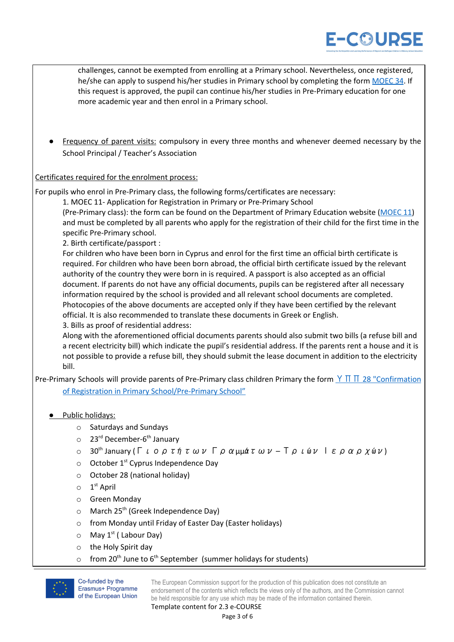





Co-funded by the Erasmus+ Programme of the European Union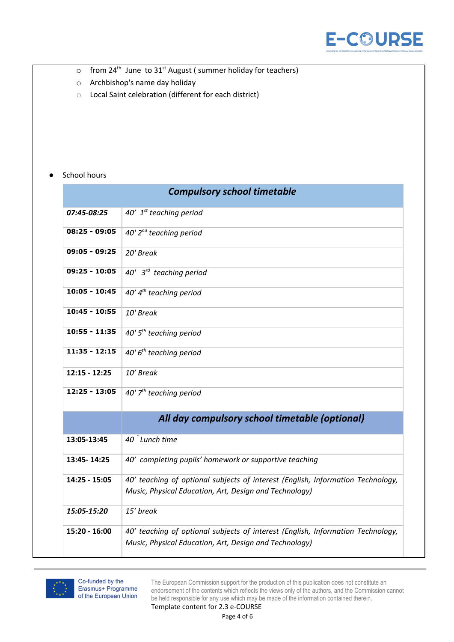

- $\circ$  from 24<sup>th</sup> June to 31<sup>st</sup> August (summer holiday for teachers)
- o [Archbishop's](https://cyprus-mail.com/2017/11/19/archbishops-name-day-holiday-nonsense/) name day holiday
- o Local Saint celebration (different for each district)

# *●* School hours

|                 | <b>Compulsory school timetable</b>                                                                                                        |
|-----------------|-------------------------------------------------------------------------------------------------------------------------------------------|
| 07:45-08:25     | 40' $1^{st}$ teaching period                                                                                                              |
| $08:25 - 09:05$ | 40' $2^{nd}$ teaching period                                                                                                              |
| $09:05 - 09:25$ | 20' Break                                                                                                                                 |
| $09:25 - 10:05$ | 40' $3^{rd}$ teaching period                                                                                                              |
| $10:05 - 10:45$ | $40'4^{th}$ teaching period                                                                                                               |
| 10:45 - 10:55   | 10' Break                                                                                                                                 |
| $10:55 - 11:35$ | $40'5th$ teaching period                                                                                                                  |
| $11:35 - 12:15$ | 40' $6th$ teaching period                                                                                                                 |
| $12:15 - 12:25$ | 10' Break                                                                                                                                 |
| $12:25 - 13:05$ | 40' $7th$ teaching period                                                                                                                 |
|                 | All day compulsory school timetable (optional)                                                                                            |
| 13:05-13:45     | 40 <sup>'</sup> Lunch time                                                                                                                |
| 13:45-14:25     | 40' completing pupils' homework or supportive teaching                                                                                    |
| 14:25 - 15:05   | 40' teaching of optional subjects of interest (English, Information Technology,<br>Music, Physical Education, Art, Design and Technology) |
| 15:05-15:20     | 15' break                                                                                                                                 |
| 15:20 - 16:00   | 40' teaching of optional subjects of interest (English, Information Technology,<br>Music, Physical Education, Art, Design and Technology) |



The European Commission support for the production of this publication does not constitute an endorsement of the contents which reflects the views only of the authors, and the Commission cannot be held responsible for any use which may be made of the information contained therein.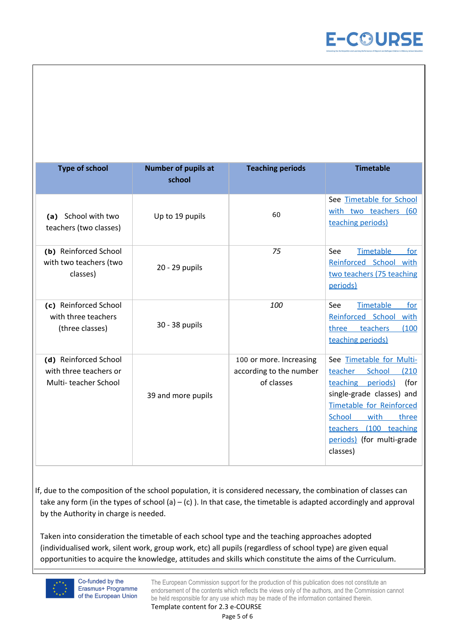

| <b>Type of school</b>                                                   | <b>Number of pupils at</b><br>school | <b>Teaching periods</b>                                          | <b>Timetable</b>                                                                                                                                                                                                                                                   |
|-------------------------------------------------------------------------|--------------------------------------|------------------------------------------------------------------|--------------------------------------------------------------------------------------------------------------------------------------------------------------------------------------------------------------------------------------------------------------------|
| School with two<br>(a)<br>teachers (two classes)                        | Up to 19 pupils                      | 60                                                               | See Timetable for School<br>with two teachers (60<br>teaching periods)                                                                                                                                                                                             |
| (b) Reinforced School<br>with two teachers (two<br>classes)             | 20 - 29 pupils                       | 75                                                               | Timetable<br>for<br>See<br>Reinforced School with<br>two teachers (75 teaching<br>periods)                                                                                                                                                                         |
| (c) Reinforced School<br>with three teachers<br>(three classes)         | 30 - 38 pupils                       | 100                                                              | Timetable<br>See<br>for<br>Reinforced School with<br>teachers<br>(100)<br>three<br>teaching periods)                                                                                                                                                               |
| (d) Reinforced School<br>with three teachers or<br>Multi-teacher School | 39 and more pupils                   | 100 or more. Increasing<br>according to the number<br>of classes | See Timetable for Multi-<br><b>School</b><br>teacher<br>(210)<br>(for<br>teaching periods)<br>single-grade classes) and<br><b>Timetable for Reinforced</b><br><b>School</b><br>with<br>three<br>teachers<br>(100 teaching<br>periods) (for multi-grade<br>classes) |

If, due to the composition of the school population, it is considered necessary, the combination of classes can take any form (in the types of school (a)  $-$  (c)). In that case, the timetable is adapted accordingly and approval by the Authority in charge is needed.

Taken into consideration the timetable of each school type and the teaching approaches adopted (individualised work, silent work, group work, etc) all pupils (regardless of school type) are given equal opportunities to acquire the knowledge, attitudes and skills which constitute the aims of the Curriculum.



Co-funded by the Erasmus+ Programme of the European Union

The European Commission support for the production of this publication does not constitute an endorsement of the contents which reflects the views only of the authors, and the Commission cannot be held responsible for any use which may be made of the information contained therein. Template content for 2.3 e-COURSE